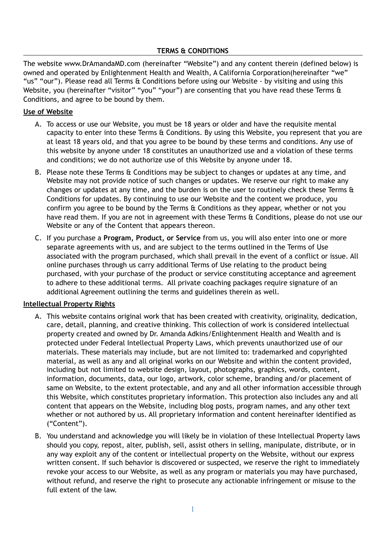# **TERMS & CONDITIONS**

The website www.DrAmandaMD.com (hereinafter "Website") and any content therein (defined below) is owned and operated by Enlightenment Health and Wealth, A California Corporation(hereinafter "we" "us" "our"). Please read all Terms & Conditions before using our Website - by visiting and using this Website, you (hereinafter "visitor" "you" "your") are consenting that you have read these Terms & Conditions, and agree to be bound by them.

## **Use of Website**

- A. To access or use our Website, you must be 18 years or older and have the requisite mental capacity to enter into these Terms & Conditions. By using this Website, you represent that you are at least 18 years old, and that you agree to be bound by these terms and conditions. Any use of this website by anyone under 18 constitutes an unauthorized use and a violation of these terms and conditions; we do not authorize use of this Website by anyone under 18.
- B. Please note these Terms & Conditions may be subject to changes or updates at any time, and Website may not provide notice of such changes or updates. We reserve our right to make any changes or updates at any time, and the burden is on the user to routinely check these Terms & Conditions for updates. By continuing to use our Website and the content we produce, you confirm you agree to be bound by the Terms & Conditions as they appear, whether or not you have read them. If you are not in agreement with these Terms & Conditions, please do not use our Website or any of the Content that appears thereon.
- C. If you purchase a **Program, Product, or Service** from us, you will also enter into one or more separate agreements with us, and are subject to the terms outlined in the Terms of Use associated with the program purchased, which shall prevail in the event of a conflict or issue. All online purchases through us carry additional Terms of Use relating to the product being purchased, with your purchase of the product or service constituting acceptance and agreement to adhere to these additional terms. All private coaching packages require signature of an additional Agreement outlining the terms and guidelines therein as well.

### **Intellectual Property Rights**

- A. This website contains original work that has been created with creativity, originality, dedication, care, detail, planning, and creative thinking. This collection of work is considered intellectual property created and owned by Dr. Amanda Adkins/Enlightenment Health and Wealth and is protected under Federal Intellectual Property Laws, which prevents unauthorized use of our materials. These materials may include, but are not limited to: trademarked and copyrighted material, as well as any and all original works on our Website and within the content provided, including but not limited to website design, layout, photographs, graphics, words, content, information, documents, data, our logo, artwork, color scheme, branding and/or placement of same on Website, to the extent protectable, and any and all other information accessible through this Website, which constitutes proprietary information. This protection also includes any and all content that appears on the Website, including blog posts, program names, and any other text whether or not authored by us. All proprietary information and content hereinafter identified as ("Content").
- B. You understand and acknowledge you will likely be in violation of these Intellectual Property laws should you copy, repost, alter, publish, sell, assist others in selling, manipulate, distribute, or in any way exploit any of the content or intellectual property on the Website, without our express written consent. If such behavior is discovered or suspected, we reserve the right to immediately revoke your access to our Website, as well as any program or materials you may have purchased, without refund, and reserve the right to prosecute any actionable infringement or misuse to the full extent of the law.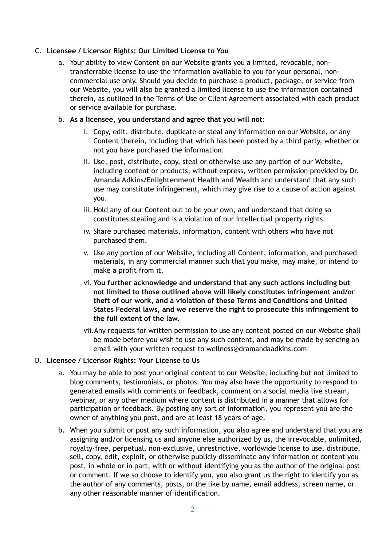## C. **Licensee / Licensor Rights: Our Limited License to You**

a. Your ability to view Content on our Website grants you a limited, revocable, nontransferrable license to use the information available to you for your personal, noncommercial use only. Should you decide to purchase a product, package, or service from our Website, you will also be granted a limited license to use the information contained therein, as outlined in the Terms of Use or Client Agreement associated with each product or service available for purchase.

### b. **As a licensee, you understand and agree that you will not:**

- i. Copy, edit, distribute, duplicate or steal any information on our Website, or any Content therein, including that which has been posted by a third party, whether or not you have purchased the information.
- ii. Use, post, distribute, copy, steal or otherwise use any portion of our Website, including content or products, without express, written permission provided by **Dr. Amanda Adkins/Enlightenment Health and Wealth** and understand that any such use may constitute infringement, which may give rise to a cause of action against you.
- iii.Hold any of our Content out to be your own, and understand that doing so constitutes stealing and is a violation of our intellectual property rights.
- iv. Share purchased materials, information, content with others who have not purchased them.
- v. Use any portion of our Website, including all Content, information, and purchased materials, in any commercial manner such that you make, may make, or intend to make a profit from it.
- vi. **You further acknowledge and understand that any such actions including but not limited to those outlined above will likely constitutes infringement and/or theft of our work, and a violation of these Terms and Conditions and United States Federal laws, and we reserve the right to prosecute this infringement to the full extent of the law.**
- vii.Any requests for written permission to use any content posted on our Website shall be made before you wish to use any such content, and may be made by sending an email with your written request to wellness@dramandaadkins.com

### D. **Licensee / Licensor Rights: Your License to Us**

- a. You may be able to post your original content to our Website, including but not limited to blog comments, testimonials, or photos. You may also have the opportunity to respond to generated emails with comments or feedback, comment on a social media live stream, webinar, or any other medium where content is distributed in a manner that allows for participation or feedback. By posting any sort of information, you represent you are the owner of anything you post, and are at least 18 years of age.
- b. When you submit or post any such information, you also agree and understand that you are assigning and/or licensing us and anyone else authorized by us, the irrevocable, unlimited, royalty-free, perpetual, non-exclusive, unrestrictive, worldwide license to use, distribute, sell, copy, edit, exploit, or otherwise publicly disseminate any information or content you post, in whole or in part, with or without identifying you as the author of the original post or comment. If we so choose to identify you, you also grant us the right to identify you as the author of any comments, posts, or the like by name, email address, screen name, or any other reasonable manner of identification.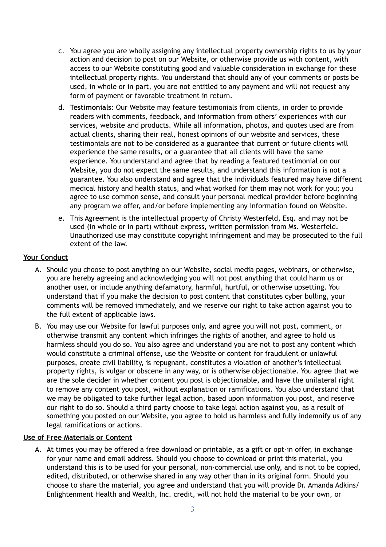- c. You agree you are wholly assigning any intellectual property ownership rights to us by your action and decision to post on our Website, or otherwise provide us with content, with access to our Website constituting good and valuable consideration in exchange for these intellectual property rights. You understand that should any of your comments or posts be used, in whole or in part, you are not entitled to any payment and will not request any form of payment or favorable treatment in return.
- d. **Testimonials:** Our Website may feature testimonials from clients, in order to provide readers with comments, feedback, and information from others' experiences with our services, website and products. While all information, photos, and quotes used are from actual clients, sharing their real, honest opinions of our website and services, these testimonials are not to be considered as a guarantee that current or future clients will experience the same results, or a guarantee that all clients will have the same experience. You understand and agree that by reading a featured testimonial on our Website, you do not expect the same results, and understand this information is not a guarantee. You also understand and agree that the individuals featured may have different medical history and health status, and what worked for them may not work for you; you agree to use common sense, and consult your personal medical provider before beginning any program we offer, and/or before implementing any information found on Website.
- e. This Agreement is the intellectual property of Christy Westerfeld, Esq. and may not be used (in whole or in part) without express, written permission from Ms. Westerfeld. Unauthorized use may constitute copyright infringement and may be prosecuted to the full extent of the law.

## **Your Conduct**

- A. Should you choose to post anything on our Website, social media pages, webinars, or otherwise, you are hereby agreeing and acknowledging you will not post anything that could harm us or another user, or include anything defamatory, harmful, hurtful, or otherwise upsetting. You understand that if you make the decision to post content that constitutes cyber bulling, your comments will be removed immediately, and we reserve our right to take action against you to the full extent of applicable laws.
- B. You may use our Website for lawful purposes only, and agree you will not post, comment, or otherwise transmit any content which infringes the rights of another, and agree to hold us harmless should you do so. You also agree and understand you are not to post any content which would constitute a criminal offense, use the Website or content for fraudulent or unlawful purposes, create civil liability, is repugnant, constitutes a violation of another's intellectual property rights, is vulgar or obscene in any way, or is otherwise objectionable. You agree that we are the sole decider in whether content you post is objectionable, and have the unilateral right to remove any content you post, without explanation or ramifications. You also understand that we may be obligated to take further legal action, based upon information you post, and reserve our right to do so. Should a third party choose to take legal action against you, as a result of something you posted on our Website, you agree to hold us harmless and fully indemnify us of any legal ramifications or actions.

### **Use of Free Materials or Content**

A. At times you may be offered a free download or printable, as a gift or opt-in offer, in exchange for your name and email address. Should you choose to download or print this material, you understand this is to be used for your personal, non-commercial use only, and is not to be copied, edited, distributed, or otherwise shared in any way other than in its original form. Should you choose to share the material, you agree and understand that you will provide Dr. Amanda Adkins/ Enlightenment Health and Wealth, Inc. credit, will not hold the material to be your own, or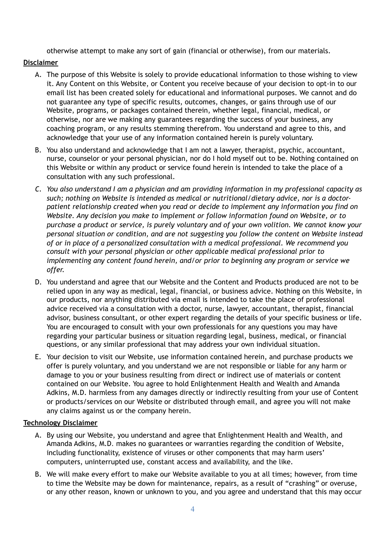otherwise attempt to make any sort of gain (financial or otherwise), from our materials.

## **Disclaimer**

- A. The purpose of this Website is solely to provide educational information to those wishing to view it. Any Content on this Website, or Content you receive because of your decision to opt-in to our email list has been created solely for educational and informational purposes. We cannot and do not guarantee any type of specific results, outcomes, changes, or gains through use of our Website, programs, or packages contained therein, whether legal, financial, medical, or otherwise, nor are we making any guarantees regarding the success of your business, any coaching program, or any results stemming therefrom. You understand and agree to this, and acknowledge that your use of any information contained herein is purely voluntary.
- B. You also understand and acknowledge that I am not a lawyer, therapist, psychic, accountant, nurse, counselor or your personal physician, nor do I hold myself out to be. Nothing contained on this Website or within any product or service found herein is intended to take the place of a consultation with any such professional.
- *C. You also understand I am a physician and am providing information in my professional capacity as such; nothing on Website is intended as medical or nutritional/dietary advice, nor is a doctorpatient relationship created when you read or decide to implement any information you find on Website. Any decision you make to implement or follow information found on Website, or to purchase a product or service, is purely voluntary and of your own volition. We cannot know your personal situation or condition, and are not suggesting you follow the content on Website instead of or in place of a personalized consultation with a medical professional. We recommend you consult with your personal physician or other applicable medical professional prior to implementing any content found herein, and/or prior to beginning any program or service we offer.*
- D. You understand and agree that our Website and the Content and Products produced are not to be relied upon in any way as medical, legal, financial, or business advice. Nothing on this Website, in our products, nor anything distributed via email is intended to take the place of professional advice received via a consultation with a doctor, nurse, lawyer, accountant, therapist, financial advisor, business consultant, or other expert regarding the details of your specific business or life. You are encouraged to consult with your own professionals for any questions you may have regarding your particular business or situation regarding legal, business, medical, or financial questions, or any similar professional that may address your own individual situation.
- E. Your decision to visit our Website, use information contained herein, and purchase products we offer is purely voluntary, and you understand we are not responsible or liable for any harm or damage to you or your business resulting from direct or indirect use of materials or content contained on our Website. You agree to hold Enlightenment Health and Wealth and Amanda Adkins, M.D. harmless from any damages directly or indirectly resulting from your use of Content or products/services on our Website or distributed through email, and agree you will not make any claims against us or the company herein.

# **Technology Disclaimer**

- A. By using our Website, you understand and agree that Enlightenment Health and Wealth, and Amanda Adkins, M.D. makes no guarantees or warranties regarding the condition of Website, including functionality, existence of viruses or other components that may harm users' computers, uninterrupted use, constant access and availability, and the like.
- B. We will make every effort to make our Website available to you at all times; however, from time to time the Website may be down for maintenance, repairs, as a result of "crashing" or overuse, or any other reason, known or unknown to you, and you agree and understand that this may occur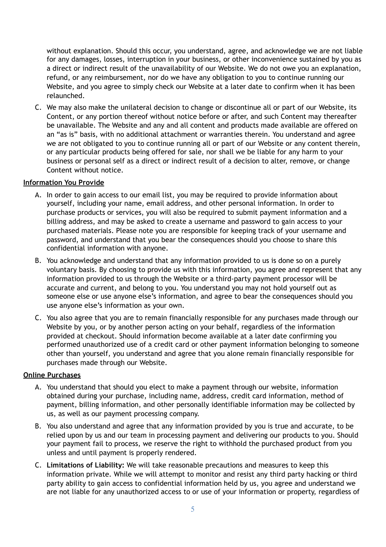without explanation. Should this occur, you understand, agree, and acknowledge we are not liable for any damages, losses, interruption in your business, or other inconvenience sustained by you as a direct or indirect result of the unavailability of our Website. We do not owe you an explanation, refund, or any reimbursement, nor do we have any obligation to you to continue running our Website, and you agree to simply check our Website at a later date to confirm when it has been relaunched.

C. We may also make the unilateral decision to change or discontinue all or part of our Website, its Content, or any portion thereof without notice before or after, and such Content may thereafter be unavailable. The Website and any and all content and products made available are offered on an "as is" basis, with no additional attachment or warranties therein. You understand and agree we are not obligated to you to continue running all or part of our Website or any content therein, or any particular products being offered for sale, nor shall we be liable for any harm to your business or personal self as a direct or indirect result of a decision to alter, remove, or change Content without notice.

## **Information You Provide**

- A. In order to gain access to our email list, you may be required to provide information about yourself, including your name, email address, and other personal information. In order to purchase products or services, you will also be required to submit payment information and a billing address, and may be asked to create a username and password to gain access to your purchased materials. Please note you are responsible for keeping track of your username and password, and understand that you bear the consequences should you choose to share this confidential information with anyone.
- B. You acknowledge and understand that any information provided to us is done so on a purely voluntary basis. By choosing to provide us with this information, you agree and represent that any information provided to us through the Website or a third-party payment processor will be accurate and current, and belong to you. You understand you may not hold yourself out as someone else or use anyone else's information, and agree to bear the consequences should you use anyone else's information as your own.
- C. You also agree that you are to remain financially responsible for any purchases made through our Website by you, or by another person acting on your behalf, regardless of the information provided at checkout. Should information become available at a later date confirming you performed unauthorized use of a credit card or other payment information belonging to someone other than yourself, you understand and agree that you alone remain financially responsible for purchases made through our Website.

# **Online Purchases**

- A. You understand that should you elect to make a payment through our website, information obtained during your purchase, including name, address, credit card information, method of payment, billing information, and other personally identifiable information may be collected by us, as well as our payment processing company.
- B. You also understand and agree that any information provided by you is true and accurate, to be relied upon by us and our team in processing payment and delivering our products to you. Should your payment fail to process, we reserve the right to withhold the purchased product from you unless and until payment is properly rendered.
- C. **Limitations of Liability:** We will take reasonable precautions and measures to keep this information private. While we will attempt to monitor and resist any third party hacking or third party ability to gain access to confidential information held by us, you agree and understand we are not liable for any unauthorized access to or use of your information or property, regardless of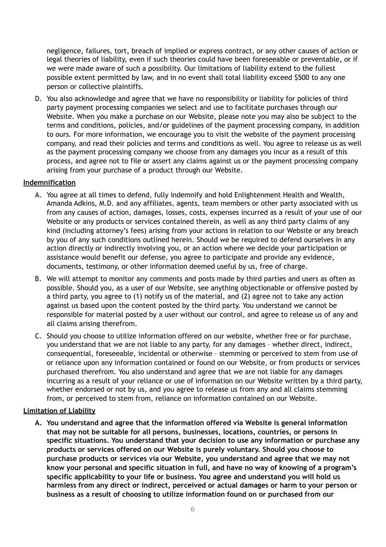negligence, failures, tort, breach of implied or express contract, or any other causes of action or legal theories of liability, even if such theories could have been foreseeable or preventable, or if we were made aware of such a possibility. Our limitations of liability extend to the fullest possible extent permitted by law, and in no event shall total liability exceed \$500 to any one person or collective plaintiffs.

D. You also acknowledge and agree that we have no responsibility or liability for policies of third party payment processing companies we select and use to facilitate purchases through our Website. When you make a purchase on our Website, please note you may also be subject to the terms and conditions, policies, and/or guidelines of the payment processing company, in addition to ours. For more information, we encourage you to visit the website of the payment processing company, and read their policies and terms and conditions as well. You agree to release us as well as the payment processing company we choose from any damages you incur as a result of this process, and agree not to file or assert any claims against us or the payment processing company arising from your purchase of a product through our Website.

## **Indemnification**

- A. You agree at all times to defend, fully indemnify and hold Enlightenment Health and Wealth, Amanda Adkins, M.D. and any affiliates, agents, team members or other party associated with us from any causes of action, damages, losses, costs, expenses incurred as a result of your use of our Website or any products or services contained therein, as well as any third party claims of any kind (including attorney's fees) arising from your actions in relation to our Website or any breach by you of any such conditions outlined herein. Should we be required to defend ourselves in any action directly or indirectly involving you, or an action where we decide your participation or assistance would benefit our defense, you agree to participate and provide any evidence, documents, testimony, or other information deemed useful by us, free of charge.
- B. We will attempt to monitor any comments and posts made by third parties and users as often as possible. Should you, as a user of our Website, see anything objectionable or offensive posted by a third party, you agree to (1) notify us of the material, and (2) agree not to take any action against us based upon the content posted by the third party. You understand we cannot be responsible for material posted by a user without our control, and agree to release us of any and all claims arising therefrom.
- C. Should you choose to utilize information offered on our website, whether free or for purchase, you understand that we are not liable to any party, for any damages – whether direct, indirect, consequential, foreseeable, incidental or otherwise – stemming or perceived to stem from use of or reliance upon any information contained or found on our Website, or from products or services purchased therefrom. You also understand and agree that we are not liable for any damages incurring as a result of your reliance or use of information on our Website written by a third party, whether endorsed or not by us, and you agree to release us from any and all claims stemming from, or perceived to stem from, reliance on information contained on our Website.

### **Limitation of Liability**

**A. You understand and agree that the information offered via Website is general information that may not be suitable for all persons, businesses, locations, countries, or persons in specific situations. You understand that your decision to use any information or purchase any products or services offered on our Website is purely voluntary. Should you choose to purchase products or services via our Website, you understand and agree that we may not know your personal and specific situation in full, and have no way of knowing of a program's specific applicability to your life or business. You agree and understand you will hold us harmless from any direct or indirect, perceived or actual damages or harm to your person or business as a result of choosing to utilize information found on or purchased from our**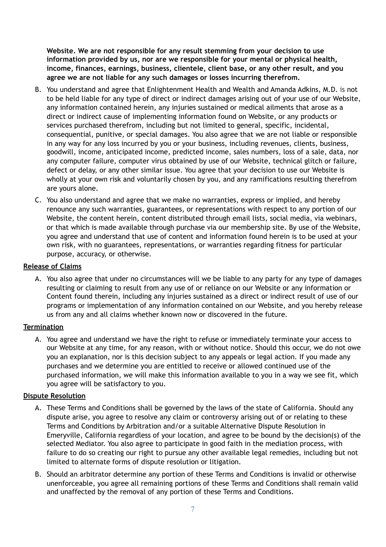**Website. We are not responsible for any result stemming from your decision to use information provided by us, nor are we responsible for your mental or physical health, income, finances, earnings, business, clientele, client base, or any other result, and you agree we are not liable for any such damages or losses incurring therefrom.** 

- B. You understand and agree that Enlightenment Health and Wealth and Amanda Adkins, M.D. is not to be held liable for any type of direct or indirect damages arising out of your use of our Website, any information contained herein, any injuries sustained or medical ailments that arose as a direct or indirect cause of implementing information found on Website, or any products or services purchased therefrom, including but not limited to general, specific, incidental, consequential, punitive, or special damages. You also agree that we are not liable or responsible in any way for any loss incurred by you or your business, including revenues, clients, business, goodwill, income, anticipated income, predicted income, sales numbers, loss of a sale, data, nor any computer failure, computer virus obtained by use of our Website, technical glitch or failure, defect or delay, or any other similar issue. You agree that your decision to use our Website is wholly at your own risk and voluntarily chosen by you, and any ramifications resulting therefrom are yours alone.
- C. You also understand and agree that we make no warranties, express or implied, and hereby renounce any such warranties, guarantees, or representations with respect to any portion of our Website, the content herein, content distributed through email lists, social media, via webinars, or that which is made available through purchase via our membership site. By use of the Website, you agree and understand that use of content and information found herein is to be used at your own risk, with no guarantees, representations, or warranties regarding fitness for particular purpose, accuracy, or otherwise.

## **Release of Claims**

A. You also agree that under no circumstances will we be liable to any party for any type of damages resulting or claiming to result from any use of or reliance on our Website or any information or Content found therein, including any injuries sustained as a direct or indirect result of use of our programs or implementation of any information contained on our Website, and you hereby release us from any and all claims whether known now or discovered in the future.

### **Termination**

A. You agree and understand we have the right to refuse or immediately terminate your access to our Website at any time, for any reason, with or without notice. Should this occur, we do not owe you an explanation, nor is this decision subject to any appeals or legal action. If you made any purchases and we determine you are entitled to receive or allowed continued use of the purchased information, we will make this information available to you in a way we see fit, which you agree will be satisfactory to you.

### **Dispute Resolution**

- A. These Terms and Conditions shall be governed by the laws of the state of California. Should any dispute arise, you agree to resolve any claim or controversy arising out of or relating to these Terms and Conditions by Arbitration and/or a suitable Alternative Dispute Resolution in Emeryville, California regardless of your location, and agree to be bound by the decision(s) of the selected Mediator. You also agree to participate in good faith in the mediation process, with failure to do so creating our right to pursue any other available legal remedies, including but not limited to alternate forms of dispute resolution or litigation.
- B. Should an arbitrator determine any portion of these Terms and Conditions is invalid or otherwise unenforceable, you agree all remaining portions of these Terms and Conditions shall remain valid and unaffected by the removal of any portion of these Terms and Conditions.